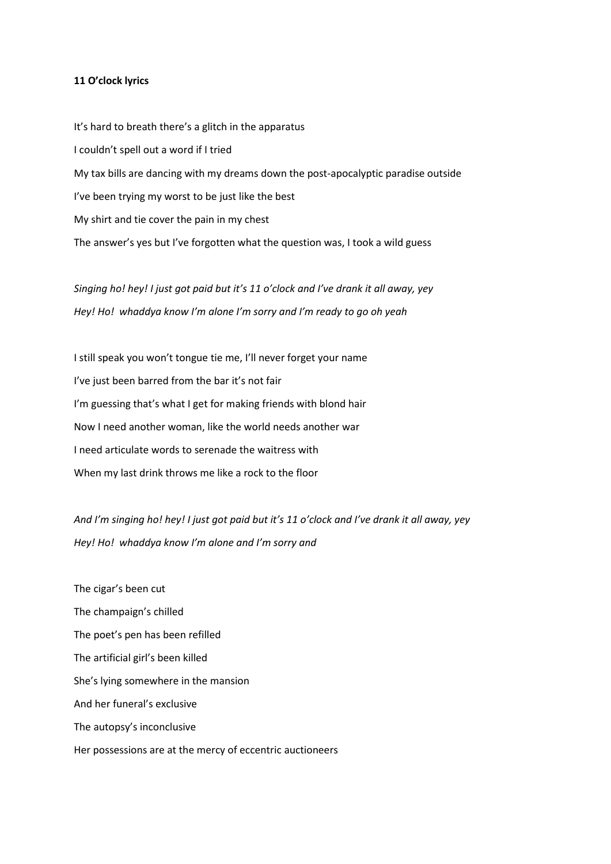## **11 O'clock lyrics**

It's hard to breath there's a glitch in the apparatus I couldn't spell out a word if I tried My tax bills are dancing with my dreams down the post-apocalyptic paradise outside I've been trying my worst to be just like the best My shirt and tie cover the pain in my chest The answer's yes but I've forgotten what the question was, I took a wild guess

*Singing ho! hey! I just got paid but it's 11 o'clock and I've drank it all away, yey Hey! Ho! whaddya know I'm alone I'm sorry and I'm ready to go oh yeah*

I still speak you won't tongue tie me, I'll never forget your name I've just been barred from the bar it's not fair I'm guessing that's what I get for making friends with blond hair Now I need another woman, like the world needs another war I need articulate words to serenade the waitress with When my last drink throws me like a rock to the floor

*And I'm singing ho! hey! I just got paid but it's 11 o'clock and I've drank it all away, yey Hey! Ho! whaddya know I'm alone and I'm sorry and* 

The cigar's been cut The champaign's chilled The poet's pen has been refilled The artificial girl's been killed She's lying somewhere in the mansion And her funeral's exclusive The autopsy's inconclusive Her possessions are at the mercy of eccentric auctioneers